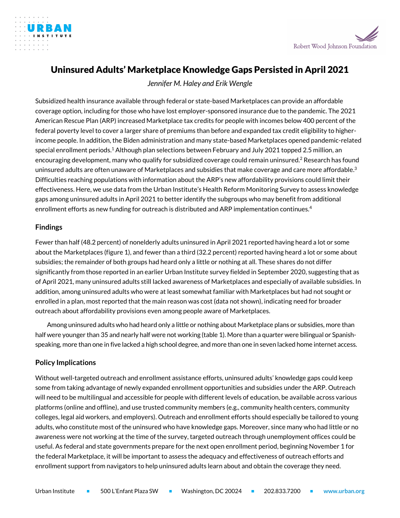



# Uninsured Adults' Marketplace Knowledge Gaps Persisted in April 2021

*Jennifer M. Haley and Erik Wengle*

Subsidized health insurance available through federal or state-based Marketplaces can provide an affordable coverage option, including for those who have lost employer-sponsored insurance due to the pandemic. The 2021 American Rescue Plan (ARP) increased Marketplace tax credits for people with incomes below 400 percent of the federal poverty level to cover a larger share of premiums than before and expanded tax credit eligibility to higherincome people. In addition, the Biden administration and many state-based Marketplaces opened pandemic-related special enrollment periods. <sup>1</sup> Although plan selections between February and July 2021 topped 2.5 million, an encouraging development, many who qualify for subsidized coverage could remain uninsured. $^2$  Research has found uninsured adults are often unaware of Marketplaces and subsidies that make coverage and care more affordable. $^3$ Difficulties reaching populations with information about the ARP's new affordability provisions could limit their effectiveness. Here, we use data from the Urban Institute's Health Reform Monitoring Survey to assess knowledge gaps among uninsured adults in April 2021 to better identify the subgroups who may benefit from additional enrollment efforts as new funding for outreach is distributed and ARP implementation continues. 4

## **Findings**

Fewer than half (48.2 percent) of nonelderly adults uninsured in April 2021 reported having heard a lot or some about the Marketplaces (figure 1), and fewer than a third (32.2 percent) reported having heard a lot or some about subsidies; the remainder of both groups had heard only a little or nothing at all. These shares do not differ significantly from those reported in an earlier Urban Institute survey fielded in September 2020, suggesting that as of April 2021, many uninsured adults still lacked awareness of Marketplaces and especially of available subsidies. In addition, among uninsured adults who were at least somewhat familiar with Marketplaces but had not sought or enrolled in a plan, most reported that the main reason was cost (data not shown), indicating need for broader outreach about affordability provisions even among people aware of Marketplaces.

Among uninsured adults who had heard only a little or nothing about Marketplace plans or subsidies, more than half were younger than 35 and nearly half were not working (table 1). More than a quarter were bilingual or Spanishspeaking, more than one in five lacked a high school degree, and more than one in seven lacked home internet access.

# **Policy Implications**

Without well-targeted outreach and enrollment assistance efforts, uninsured adults' knowledge gaps could keep some from taking advantage of newly expanded enrollment opportunities and subsidies under the ARP. Outreach will need to be multilingual and accessible for people with different levels of education, be available across various platforms (online and offline), and use trusted community members (e.g., community health centers, community colleges, legal aid workers, and employers). Outreach and enrollment efforts should especially be tailored to young adults, who constitute most of the uninsured who have knowledge gaps. Moreover, since many who had little or no awareness were not working at the time of the survey, targeted outreach through unemployment offices could be useful. As federal and state governments prepare for the next open enrollment period, beginning November 1 for the federal Marketplace, it will be important to assess the adequacy and effectiveness of outreach efforts and enrollment support from navigators to help uninsured adults learn about and obtain the coverage they need.